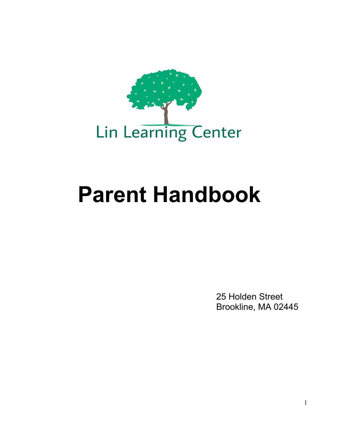

# **Parent Handbook**

25 Holden Street Brookline, MA 02445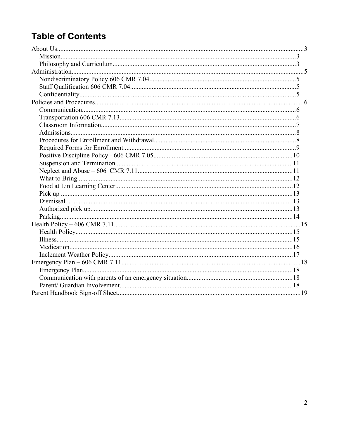# **Table of Contents**

<span id="page-1-0"></span>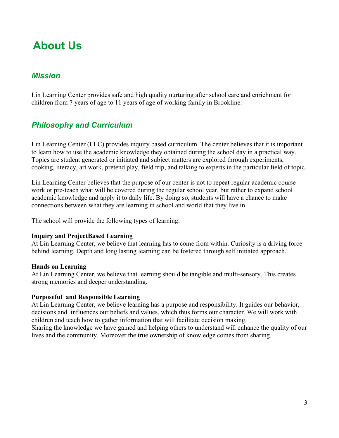# <span id="page-2-2"></span>**About Us**

## <span id="page-2-1"></span>*Mission*

Lin Learning Center provides safe and high quality nurturing after school care and enrichment for children from 7 years of age to 11 years of age of working family in Brookline.

# <span id="page-2-0"></span>*Philosophy and Curriculum*

Lin Learning Center (LLC) provides inquiry based curriculum. The center believes that it is important to learn how to use the academic knowledge they obtained during the school day in a practical way. Topics are student generated or initiated and subject matters are explored through experiments, cooking, literacy, art work, pretend play, field trip, and talking to experts in the particular field of topic.

Lin Learning Center believes that the purpose of our center is not to repeat regular academic course work or pre-teach what will be covered during the regular school year, but rather to expand school academic knowledge and apply it to daily life. By doing so, students will have a chance to make connections between what they are learning in school and world that they live in.

The school will provide the following types of learning:

#### **Inquiry and ProjectBased Learning**

At Lin Learning Center, we believe that learning has to come from within. Curiosity is a driving force behind learning. Depth and long lasting learning can be fostered through self initiated approach.

#### **Hands on Learning**

At Lin Learning Center, we believe that learning should be tangible and multi-sensory. This creates strong memories and deeper understanding.

#### **Purposeful and Responsible Learning**

At Lin Learning Center, we believe learning has a purpose and responsibility. It guides our behavior, decisions and influences our beliefs and values, which thus forms our character. We will work with children and teach how to gather information that will facilitate decision making.

Sharing the knowledge we have gained and helping others to understand will enhance the quality of our lives and the community. Moreover the true ownership of knowledge comes from sharing.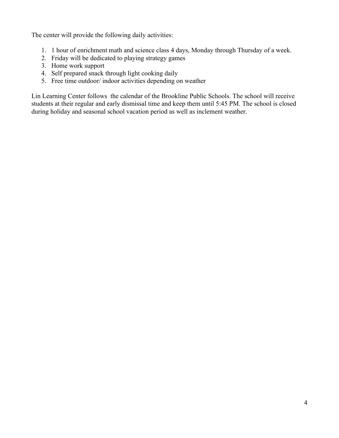The center will provide the following daily activities:

- 1. 1 hour of enrichment math and science class 4 days, Monday through Thursday of a week.
- 2. Friday will be dedicated to playing strategy games
- 3. Home work support
- 4. Self prepared snack through light cooking daily
- 5. Free time outdoor/ indoor activities depending on weather

Lin Learning Center follows the calendar of the Brookline Public Schools. The school will receive students at their regular and early dismissal time and keep them until 5:45 PM. The school is closed during holiday and seasonal school vacation period as well as inclement weather.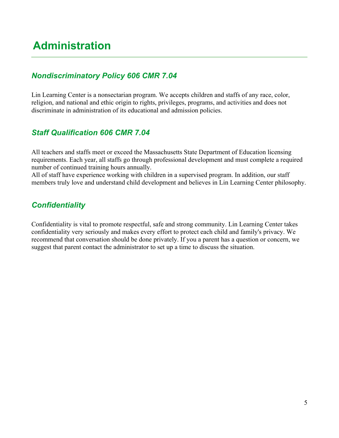# <span id="page-4-3"></span>**Administration**

## <span id="page-4-2"></span>*Nondiscriminatory Policy 606 CMR 7.04*

Lin Learning Center is a nonsectarian program. We accepts children and staffs of any race, color, religion, and national and ethic origin to rights, privileges, programs, and activities and does not discriminate in administration of its educational and admission policies.

#### <span id="page-4-1"></span>*Staff Qualification 606 CMR 7.04*

All teachers and staffs meet or exceed the Massachusetts State Department of Education licensing requirements. Each year, all staffs go through professional development and must complete a required number of continued training hours annually.

All of staff have experience working with children in a supervised program. In addition, our staff members truly love and understand child development and believes in Lin Learning Center philosophy.

#### <span id="page-4-0"></span>*Confidentiality*

Confidentiality is vital to promote respectful, safe and strong community. Lin Learning Center takes confidentiality very seriously and makes every effort to protect each child and family's privacy. We recommend that conversation should be done privately. If you a parent has a question or concern, we suggest that parent contact the administrator to set up a time to discuss the situation.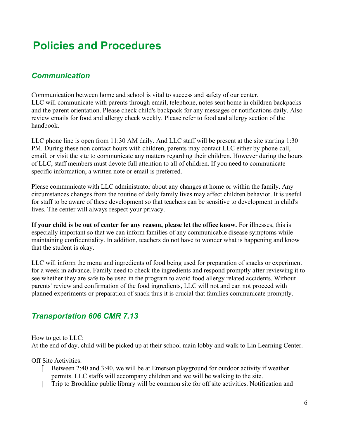## <span id="page-5-2"></span><span id="page-5-1"></span>*Communication*

Communication between home and school is vital to success and safety of our center. LLC will communicate with parents through email, telephone, notes sent home in children backpacks and the parent orientation. Please check child's backpack for any messages or notifications daily. Also review emails for food and allergy check weekly. Please refer to food and allergy section of the handbook.

LLC phone line is open from 11:30 AM daily. And LLC staff will be present at the site starting 1:30 PM. During these non contact hours with children, parents may contact LLC either by phone call, email, or visit the site to communicate any matters regarding their children. However during the hours of LLC, staff members must devote full attention to all of children. If you need to communicate specific information, a written note or email is preferred.

Please communicate with LLC administrator about any changes at home or within the family. Any circumstances changes from the routine of daily family lives may affect children behavior. It is useful for staff to be aware of these development so that teachers can be sensitive to development in child's lives. The center will always respect your privacy.

**If your child is be out of center for any reason, please let the office know.** For illnesses, this is especially important so that we can inform families of any communicable disease symptoms while maintaining confidentiality. In addition, teachers do not have to wonder what is happening and know that the student is okay.

LLC will inform the menu and ingredients of food being used for preparation of snacks or experiment for a week in advance. Family need to check the ingredients and respond promptly after reviewing it to see whether they are safe to be used in the program to avoid food allergy related accidents. Without parents' review and confirmation of the food ingredients, LLC will not and can not proceed with planned experiments or preparation of snack thus it is crucial that families communicate promptly.

#### <span id="page-5-0"></span>*Transportation 606 CMR 7.13*

How to get to LLC: At the end of day, child will be picked up at their school main lobby and walk to Lin Learning Center.

Off Site Activities:

- Between 2:40 and 3:40, we will be at Emerson playground for outdoor activity if weather permits. LLC staffs will accompany children and we will be walking to the site.
- Trip to Brookline public library will be common site for off site activities. Notification and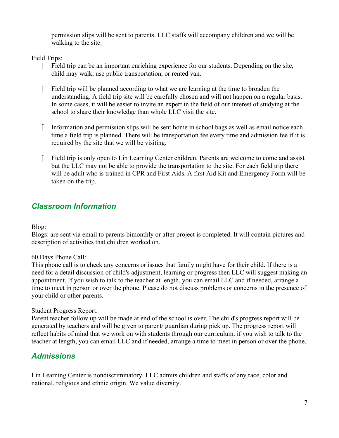permission slips will be sent to parents. LLC staffs will accompany children and we will be walking to the site.

Field Trips:

- Field trip can be an important enriching experience for our students. Depending on the site, child may walk, use public transportation, or rented van.
- Field trip will be planned according to what we are learning at the time to broaden the understanding. A field trip site will be carefully chosen and will not happen on a regular basis. In some cases, it will be easier to invite an expert in the field of our interest of studying at the school to share their knowledge than whole LLC visit the site.
- Information and permission slips will be sent home in school bags as well as email notice each time a field trip is planned. There will be transportation fee every time and admission fee if it is required by the site that we will be visiting.
- Field trip is only open to Lin Learning Center children. Parents are welcome to come and assist but the LLC may not be able to provide the transportation to the site. For each field trip there will be adult who is trained in CPR and First Aids. A first Aid Kit and Emergency Form will be taken on the trip.

#### <span id="page-6-1"></span>*Classroom Information*

Blog:

Blogs: are sent via email to parents bimonthly or after project is completed. It will contain pictures and description of activities that children worked on.

#### 60 Days Phone Call:

This phone call is to check any concerns or issues that family might have for their child. If there is a need for a detail discussion of child's adjustment, learning or progress then LLC will suggest making an appointment. If you wish to talk to the teacher at length, you can email LLC and if needed, arrange a time to meet in person or over the phone. Please do not discuss problems or concerns in the presence of your child or other parents.

#### Student Progress Report:

Parent teacher follow up will be made at end of the school is over. The child's progress report will be generated by teachers and will be given to parent/ guardian during pick up. The progress report will reflect habits of mind that we work on with students through our curriculum. if you wish to talk to the teacher at length, you can email LLC and if needed, arrange a time to meet in person or over the phone.

#### <span id="page-6-0"></span>*Admissions*

Lin Learning Center is nondiscriminatory. LLC admits children and staffs of any race, color and national, religious and ethnic origin. We value diversity.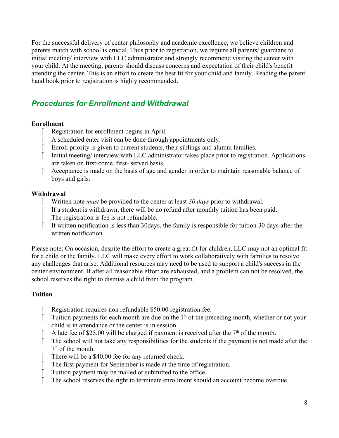For the successful delivery of center philosophy and academic excellence, we believe children and parents match with school is crucial. Thus prior to registration, we require all parents/ guardians to initial meeting/ interview with LLC administrator and strongly recommend visiting the center with your child. At the meeting, parents should discuss concerns and expectation of their child's benefit attending the center. This is an effort to create the best fit for your child and family. Reading the parent hand book prior to registration is highly recommended.

#### <span id="page-7-0"></span>*Procedures for Enrollment and Withdrawal*

#### **Enrollment**

- Registration for enrollment begins in April.
- A scheduled enter visit can be done through appointments only.
- Enroll priority is given to current students, their siblings and alumni families.
- Initial meeting/ interview with LLC administrator takes place prior to registration. Applications are taken on first-come, first- served basis.
- Acceptance is made on the basis of age and gender in order to maintain reasonable balance of boys and girls.

#### **Withdrawal**

- Written note *must* be provided to the center at least *30 days* prior to withdrawal.
- If a student is withdrawn, there will be no refund after monthly tuition has been paid.
- The registration is fee is not refundable.
- If written notification is less than 30days, the family is responsible for tuition 30 days after the written notification.

Please note: On occasion, despite the effort to create a great fit for children, LLC may not an optimal fit for a child or the family. LLC will make every effort to work collaboratively with families to resolve any challenges that arise. Additional resources may need to be used to support a child's success in the center environment. If after all reasonable effort are exhausted, and a problem can not be resolved, the school reserves the right to dismiss a child from the program.

#### **Tuition**

- Registration requires non refundable \$50.00 registration fee.
- Tuition payments for each month are due on the  $1<sup>st</sup>$  of the preceding month, whether or not your child is in attendance or the center is in session.
- A late fee of \$25.00 will be charged if payment is received after the  $7<sup>th</sup>$  of the month.
- The school will not take any responsibilities for the students if the payment is not made after the  $7<sup>th</sup>$  of the month.
- There will be a \$40.00 fee for any returned check.
- The first payment for September is made at the time of registration.
- Tuition payment may be mailed or submitted to the office.
- The school reserves the right to terminate enrollment should an account become overdue.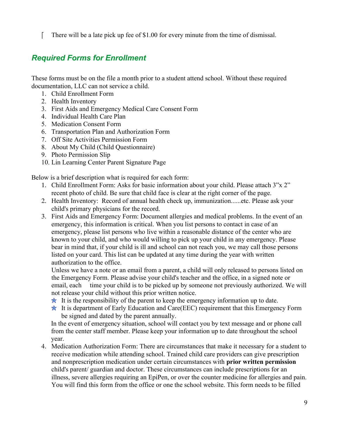There will be a late pick up fee of  $$1.00$  for every minute from the time of dismissal.

## <span id="page-8-0"></span>*Required Forms for Enrollment*

These forms must be on the file a month prior to a student attend school. Without these required documentation, LLC can not service a child.

- 1. Child Enrollment Form
- 2. Health Inventory
- 3. First Aids and Emergency Medical Care Consent Form
- 4. Individual Health Care Plan
- 5. Medication Consent Form
- 6. Transportation Plan and Authorization Form
- 7. Off Site Activities Permission Form
- 8. About My Child (Child Questionnaire)
- 9. Photo Permission Slip
- 10. Lin Learning Center Parent Signature Page

Below is a brief description what is required for each form:

- 1. Child Enrollment Form: Asks for basic information about your child. Please attach 3"x 2" recent photo of child. Be sure that child face is clear at the right corner of the page.
- 2. Health Inventory: Record of annual health check up, immunization......etc. Please ask your child's primary physicians for the record.
- 3. First Aids and Emergency Form: Document allergies and medical problems. In the event of an emergency, this information is critical. When you list persons to contact in case of an emergency, please list persons who live within a reasonable distance of the center who are known to your child, and who would willing to pick up your child in any emergency. Please bear in mind that, if your child is ill and school can not reach you, we may call those persons listed on your card. This list can be updated at any time during the year with written authorization to the office.

 Unless we have a note or an email from a parent, a child will only released to persons listed on the Emergency Form. Please advise your child's teacher and the office, in a signed note or email, each time your child is to be picked up by someone not previously authorized. We will not release your child without this prior written notice.

- $\star$  It is the responsibility of the parent to keep the emergency information up to date.
- $\star$  It is department of Early Education and Care(EEC) requirement that this Emergency Form be signed and dated by the parent annually.

In the event of emergency situation, school will contact you by text message and or phone call from the center staff member. Please keep your information up to date throughout the school year.

4. Medication Authorization Form: There are circumstances that make it necessary for a student to receive medication while attending school. Trained child care providers can give prescription and nonprescription medication under certain circumstances with **prior written permission**  child's parent/ guardian and doctor. These circumstances can include prescriptions for an illness, severe allergies requiring an EpiPen, or over the counter medicine for allergies and pain. You will find this form from the office or one the school website. This form needs to be filled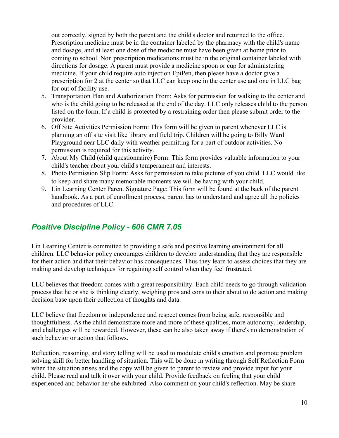out correctly, signed by both the parent and the child's doctor and returned to the office. Prescription medicine must be in the container labeled by the pharmacy with the child's name and dosage, and at least one dose of the medicine must have been given at home prior to coming to school. Non prescription medications must be in the original container labeled with directions for dosage. A parent must provide a medicine spoon or cup for administering medicine. If your child require auto injection EpiPen, then please have a doctor give a prescription for 2 at the center so that LLC can keep one in the center use and one in LLC bag for out of facility use.

- 5. Transportation Plan and Authorization From: Asks for permission for walking to the center and who is the child going to be released at the end of the day. LLC only releases child to the person listed on the form. If a child is protected by a restraining order then please submit order to the provider.
- 6. Off Site Activities Permission Form: This form will be given to parent whenever LLC is planning an off site visit like library and field trip. Children will be going to Billy Ward Playground near LLC daily with weather permitting for a part of outdoor activities. No permission is required for this activity.
- 7. About My Child (child questionnaire) Form: This form provides valuable information to your child's teacher about your child's temperament and interests.
- 8. Photo Permission Slip Form: Asks for permission to take pictures of you child. LLC would like to keep and share many memorable moments we will be having with your child.
- 9. Lin Learning Center Parent Signature Page: This form will be found at the back of the parent handbook. As a part of enrollment process, parent has to understand and agree all the policies and procedures of LLC.

#### <span id="page-9-0"></span>*Positive Discipline Policy - 606 CMR 7.05*

Lin Learning Center is committed to providing a safe and positive learning environment for all children. LLC behavior policy encourages children to develop understanding that they are responsible for their action and that their behavior has consequences. Thus they learn to assess choices that they are making and develop techniques for regaining self control when they feel frustrated.

LLC believes that freedom comes with a great responsibility. Each child needs to go through validation process that he or she is thinking clearly, weighing pros and cons to their about to do action and making decision base upon their collection of thoughts and data.

LLC believe that freedom or independence and respect comes from being safe, responsible and thoughtfulness. As the child demonstrate more and more of these qualities, more autonomy, leadership, and challenges will be rewarded. However, these can be also taken away if there's no demonstration of such behavior or action that follows.

Reflection, reasoning, and story telling will be used to modulate child's emotion and promote problem solving skill for better handling of situation. This will be done in writing through Self Reflection Form when the situation arises and the copy will be given to parent to review and provide input for your child. Please read and talk it over with your child. Provide feedback on feeling that your child experienced and behavior he/ she exhibited. Also comment on your child's reflection. May be share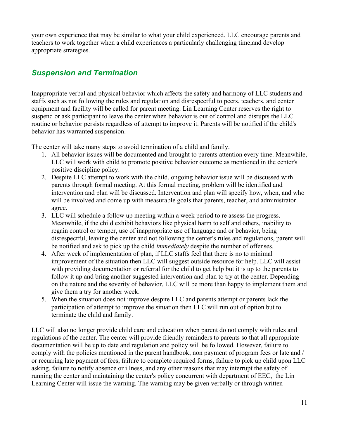your own experience that may be similar to what your child experienced. LLC encourage parents and teachers to work together when a child experiences a particularly challenging time,and develop appropriate strategies.

#### <span id="page-10-0"></span>*Suspension and Termination*

Inappropriate verbal and physical behavior which affects the safety and harmony of LLC students and staffs such as not following the rules and regulation and disrespectful to peers, teachers, and center equipment and facility will be called for parent meeting. Lin Learning Center reserves the right to suspend or ask participant to leave the center when behavior is out of control and disrupts the LLC routine or behavior persists regardless of attempt to improve it. Parents will be notified if the child's behavior has warranted suspension.

The center will take many steps to avoid termination of a child and family.

- 1. All behavior issues will be documented and brought to parents attention every time. Meanwhile, LLC will work with child to promote positive behavior outcome as mentioned in the center's positive discipline policy.
- 2. Despite LLC attempt to work with the child, ongoing behavior issue will be discussed with parents through formal meeting. At this formal meeting, problem will be identified and intervention and plan will be discussed. Intervention and plan will specify how, when, and who will be involved and come up with measurable goals that parents, teacher, and administrator agree.
- 3. LLC will schedule a follow up meeting within a week period to re assess the progress. Meanwhile, if the child exhibit behaviors like physical harm to self and others, inability to regain control or temper, use of inappropriate use of language and or behavior, being disrespectful, leaving the center and not following the center's rules and regulations, parent will be notified and ask to pick up the child *immediately* despite the number of offenses.
- 4. After week of implementation of plan, if LLC staffs feel that there is no to minimal improvement of the situation then LLC will suggest outside resource for help. LLC will assist with providing documentation or referral for the child to get help but it is up to the parents to follow it up and bring another suggested intervention and plan to try at the center. Depending on the nature and the severity of behavior, LLC will be more than happy to implement them and give them a try for another week.
- 5. When the situation does not improve despite LLC and parents attempt or parents lack the participation of attempt to improve the situation then LLC will run out of option but to terminate the child and family.

LLC will also no longer provide child care and education when parent do not comply with rules and regulations of the center. The center will provide friendly reminders to parents so that all appropriate documentation will be up to date and regulation and policy will be followed. However, failure to comply with the policies mentioned in the parent handbook, non payment of program fees or late and / or recurring late payment of fees, failure to complete required forms, failure to pick up child upon LLC asking, failure to notify absence or illness, and any other reasons that may interrupt the safety of running the center and maintaining the center's policy concurrent with department of EEC, the Lin Learning Center will issue the warning. The warning may be given verbally or through written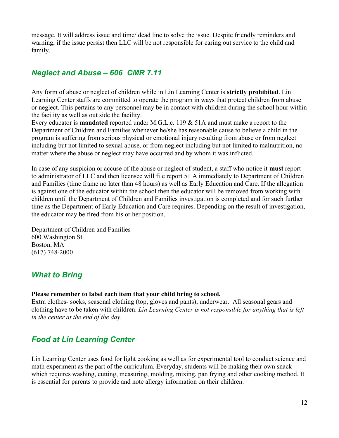message. It will address issue and time/ dead line to solve the issue. Despite friendly reminders and warning, if the issue persist then LLC will be not responsible for caring out service to the child and family.

#### <span id="page-11-2"></span>*Neglect and Abuse – 606 CMR 7.11*

Any form of abuse or neglect of children while in Lin Learning Center is **strictly prohibited**. Lin Learning Center staffs are committed to operate the program in ways that protect children from abuse or neglect. This pertains to any personnel may be in contact with children during the school hour within the facility as well as out side the facility.

Every educator is **mandated** reported under M.G.L.c. 119 & 51A and must make a report to the Department of Children and Families whenever he/she has reasonable cause to believe a child in the program is suffering from serious physical or emotional injury resulting from abuse or from neglect including but not limited to sexual abuse, or from neglect including but not limited to malnutrition, no matter where the abuse or neglect may have occurred and by whom it was inflicted.

In case of any suspicion or accuse of the abuse or neglect of student, a staff who notice it **must** report to administrator of LLC and then licensee will file report 51 A immediately to Department of Children and Families (time frame no later than 48 hours) as well as Early Education and Care. If the allegation is against one of the educator within the school then the educator will be removed from working with children until the Department of Children and Families investigation is completed and for such further time as the Department of Early Education and Care requires. Depending on the result of investigation, the educator may be fired from his or her position.

Department of Children and Families 600 Washington St Boston, MA (617) 748-2000

#### <span id="page-11-1"></span>*What to Bring*

#### **Please remember to label each item that your child bring to school.**

Extra clothes- socks, seasonal clothing (top, gloves and pants), underwear. All seasonal gears and clothing have to be taken with children. *Lin Learning Center is not responsible for anything that is left in the center at the end of the day.* 

#### <span id="page-11-0"></span>*Food at Lin Learning Center*

Lin Learning Center uses food for light cooking as well as for experimental tool to conduct science and math experiment as the part of the curriculum. Everyday, students will be making their own snack which requires washing, cutting, measuring, molding, mixing, pan frying and other cooking method. It is essential for parents to provide and note allergy information on their children.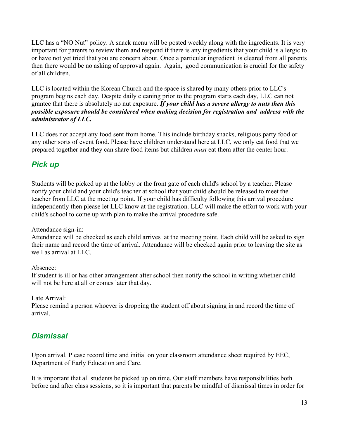LLC has a "NO Nut" policy. A snack menu will be posted weekly along with the ingredients. It is very important for parents to review them and respond if there is any ingredients that your child is allergic to or have not yet tried that you are concern about. Once a particular ingredient is cleared from all parents then there would be no asking of approval again. Again, good communication is crucial for the safety of all children.

LLC is located within the Korean Church and the space is shared by many others prior to LLC's program begins each day. Despite daily cleaning prior to the program starts each day, LLC can not grantee that there is absolutely no nut exposure. *If your child has a severe allergy to nuts then this possible exposure should be considered when making decision for registration and address with the administrator of LLC.*

LLC does not accept any food sent from home. This include birthday snacks, religious party food or any other sorts of event food. Please have children understand here at LLC, we only eat food that we prepared together and they can share food items but children *must* eat them after the center hour.

# <span id="page-12-1"></span>*Pick up*

Students will be picked up at the lobby or the front gate of each child's school by a teacher. Please notify your child and your child's teacher at school that your child should be released to meet the teacher from LLC at the meeting point. If your child has difficulty following this arrival procedure independently then please let LLC know at the registration. LLC will make the effort to work with your child's school to come up with plan to make the arrival procedure safe.

Attendance sign-in:

Attendance will be checked as each child arrives at the meeting point. Each child will be asked to sign their name and record the time of arrival. Attendance will be checked again prior to leaving the site as well as arrival at LLC.

Absence:

If student is ill or has other arrangement after school then notify the school in writing whether child will not be here at all or comes later that day.

Late Arrival:

Please remind a person whoever is dropping the student off about signing in and record the time of arrival.

# <span id="page-12-0"></span>*Dismissal*

Upon arrival. Please record time and initial on your classroom attendance sheet required by EEC, Department of Early Education and Care.

It is important that all students be picked up on time. Our staff members have responsibilities both before and after class sessions, so it is important that parents be mindful of dismissal times in order for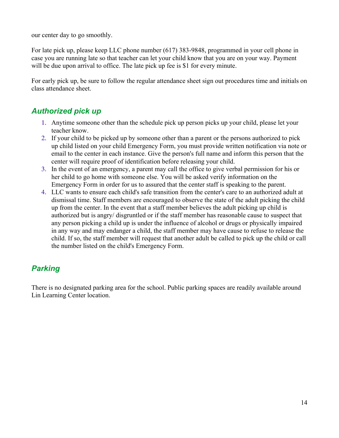our center day to go smoothly.

For late pick up, please keep LLC phone number (617) 383-9848, programmed in your cell phone in case you are running late so that teacher can let your child know that you are on your way. Payment will be due upon arrival to office. The late pick up fee is \$1 for every minute.

For early pick up, be sure to follow the regular attendance sheet sign out procedures time and initials on class attendance sheet.

# <span id="page-13-1"></span>*Authorized pick up*

- 1. Anytime someone other than the schedule pick up person picks up your child, please let your teacher know.
- 2. If your child to be picked up by someone other than a parent or the persons authorized to pick up child listed on your child Emergency Form, you must provide written notification via note or email to the center in each instance. Give the person's full name and inform this person that the center will require proof of identification before releasing your child.
- 3. In the event of an emergency, a parent may call the office to give verbal permission for his or her child to go home with someone else. You will be asked verify information on the Emergency Form in order for us to assured that the center staff is speaking to the parent.
- 4. LLC wants to ensure each child's safe transition from the center's care to an authorized adult at dismissal time. Staff members are encouraged to observe the state of the adult picking the child up from the center. In the event that a staff member believes the adult picking up child is authorized but is angry/ disgruntled or if the staff member has reasonable cause to suspect that any person picking a child up is under the influence of alcohol or drugs or physically impaired in any way and may endanger a child, the staff member may have cause to refuse to release the child. If so, the staff member will request that another adult be called to pick up the child or call the number listed on the child's Emergency Form.

#### <span id="page-13-0"></span>*Parking*

There is no designated parking area for the school. Public parking spaces are readily available around Lin Learning Center location.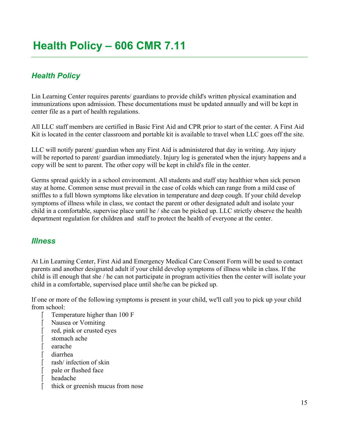# <span id="page-14-1"></span><span id="page-14-0"></span>*Health Policy*

Lin Learning Center requires parents/ guardians to provide child's written physical examination and immunizations upon admission. These documentations must be updated annually and will be kept in center file as a part of health regulations.

All LLC staff members are certified in Basic First Aid and CPR prior to start of the center. A First Aid Kit is located in the center classroom and portable kit is available to travel when LLC goes off the site.

LLC will notify parent/ guardian when any First Aid is administered that day in writing. Any injury will be reported to parent/ guardian immediately. Injury log is generated when the injury happens and a copy will be sent to parent. The other copy will be kept in child's file in the center.

Germs spread quickly in a school environment. All students and staff stay healthier when sick person stay at home. Common sense must prevail in the case of colds which can range from a mild case of sniffles to a full blown symptoms like elevation in temperature and deep cough. If your child develop symptoms of illness while in class, we contact the parent or other designated adult and isolate your child in a comfortable, supervise place until he / she can be picked up. LLC strictly observe the health department regulation for children and staff to protect the health of everyone at the center.

#### *Illness*

At Lin Learning Center, First Aid and Emergency Medical Care Consent Form will be used to contact parents and another designated adult if your child develop symptoms of illness while in class. If the child is ill enough that she / he can not participate in program activities then the center will isolate your child in a comfortable, supervised place until she/he can be picked up.

If one or more of the following symptoms is present in your child, we'll call you to pick up your child from school:

- Temperature higher than 100 F
- Nausea or Vomiting
- red, pink or crusted eyes
- stomach ache
- earache
- diarrhea
- rash/ infection of skin
- pale or flushed face
- headache
- thick or greenish mucus from nose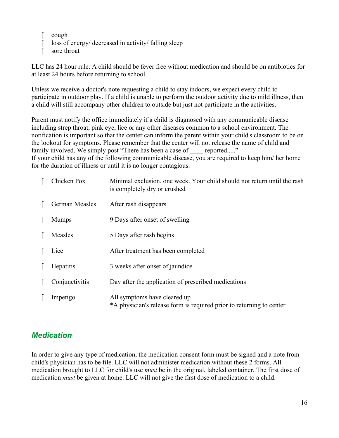cough loss of energy/ decreased in activity/ falling sleep sore throat

LLC has 24 hour rule. A child should be fever free without medication and should be on antibiotics for at least 24 hours before returning to school.

Unless we receive a doctor's note requesting a child to stay indoors, we expect every child to participate in outdoor play. If a child is unable to perform the outdoor activity due to mild illness, then a child will still accompany other children to outside but just not participate in the activities.

Parent must notify the office immediately if a child is diagnosed with any communicable disease including strep throat, pink eye, lice or any other diseases common to a school environment. The notification is important so that the center can inform the parent within your child's classroom to be on the lookout for symptoms. Please remember that the center will not release the name of child and family involved. We simply post "There has been a case of reported.....". If your child has any of the following communicable disease, you are required to keep him/ her home

for the duration of illness or until it is no longer contagious.

| Chicken Pox    | Minimal exclusion, one week. Your child should not return until the rash<br>is completely dry or crushed |
|----------------|----------------------------------------------------------------------------------------------------------|
| German Measles | After rash disappears                                                                                    |
| <b>Mumps</b>   | 9 Days after onset of swelling                                                                           |
| Measles        | 5 Days after rash begins                                                                                 |
| Lice           | After treatment has been completed                                                                       |
| Hepatitis      | 3 weeks after onset of jaundice                                                                          |
| Conjunctivitis | Day after the application of prescribed medications                                                      |
| Impetigo       | All symptoms have cleared up<br>*A physician's release form is required prior to returning to center     |

#### <span id="page-15-0"></span>*Medication*

In order to give any type of medication, the medication consent form must be signed and a note from child's physician has to be file. LLC will not administer medication without these 2 forms. All medication brought to LLC for child's use *must* be in the original, labeled container. The first dose of medication *must* be given at home. LLC will not give the first dose of medication to a child.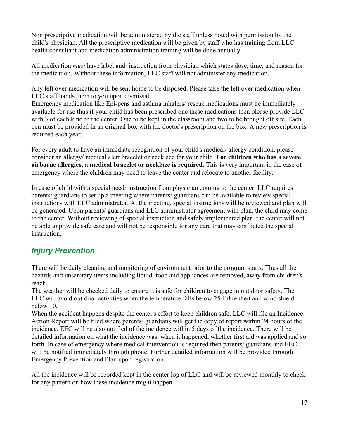Non prescriptive medication will be administered by the staff unless noted with permission by the child's physician. All the prescriptive medication will be given by staff who has training from LLC health consultant and medication administration training will be done annually.

All medication *must* have label and instruction from physician which states dose, time, and reason for the medication. Without these information, LLC staff will not administer any medication.

Any left over medication will be sent home to be disposed. Please take the left over medication when LLC staff hands them to you upon dismissal.

Emergency medication like Epi-pens and asthma inhalers/ rescue medications must be immediately available for use thus if your child has been prescribed one these medications then please provide LLC with 3 of each kind to the center. One to be kept in the classroom and two to be brought off site. Each pen must be provided in an original box with the doctor's prescription on the box. A new prescription is required each year.

For every adult to have an immediate recognition of your child's medical/ allergy condition, please consider an allergy/ medical alert bracelet or necklace for your child. **For children who has a severe airborne allergies, a medical bracelet or necklace is required.** This is very important in the case of emergency where the children may need to leave the center and relocate to another facility.

In case of child with a special need/ instruction from physician coming to the center, LLC requires parents/ guardians to set up a meeting where parents/ guardians can be available to review special instructions with LLC administrator. At the meeting, special instructions will be reviewed and plan will be generated. Upon parents/ guardians and LLC administrator agreement with plan, the child may come to the center. Without reviewing of special instruction and safely implemented plan, the center will not be able to provide safe care and will not be responsible for any care that may conflicted the special instruction.

#### *Injury Prevention*

There will be daily cleaning and monitoring of environment prior to the program starts. Thus all the hazards and unsanitary items including liquid, food and appliances are removed, away from children's reach.

The weather will be checked daily to ensure it is safe for children to engage in out door safety. The LLC will avoid out door activities when the temperature falls below 25 Fahrenheit and wind shield below 10.

When the accident happens despite the center's effort to keep children safe, LLC will file an Incidence Action Report will be filed where parents/ guardians will get the copy of report within 24 hours of the incidence. EEC will be also notified of the incidence within 5 days of the incidence. There will be detailed information on what the incidence was, when it happened, whether first aid was applied and so forth. In case of emergency where medical intervention is required then parents/ guardians and EEC will be notified immediately through phone. Further detailed information will be provided through Emergency Prevention and Plan upon registration.

All the incidence will be recorded kept in the center log of LLC and will be reviewed monthly to check for any pattern on how these incidence might happen.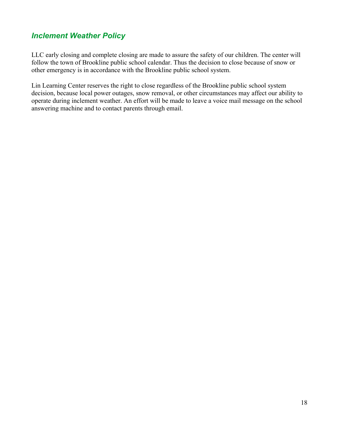#### <span id="page-17-0"></span>*Inclement Weather Policy*

LLC early closing and complete closing are made to assure the safety of our children. The center will follow the town of Brookline public school calendar. Thus the decision to close because of snow or other emergency is in accordance with the Brookline public school system.

Lin Learning Center reserves the right to close regardless of the Brookline public school system decision, because local power outages, snow removal, or other circumstances may affect our ability to operate during inclement weather. An effort will be made to leave a voice mail message on the school answering machine and to contact parents through email.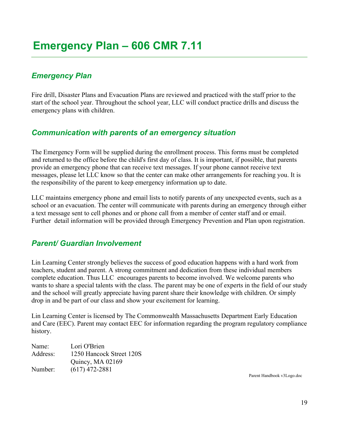## <span id="page-18-3"></span><span id="page-18-2"></span>*Emergency Plan*

Fire drill, Disaster Plans and Evacuation Plans are reviewed and practiced with the staff prior to the start of the school year. Throughout the school year, LLC will conduct practice drills and discuss the emergency plans with children.

#### <span id="page-18-1"></span>*Communication with parents of an emergency situation*

The Emergency Form will be supplied during the enrollment process. This forms must be completed and returned to the office before the child's first day of class. It is important, if possible, that parents provide an emergency phone that can receive text messages. If your phone cannot receive text messages, please let LLC know so that the center can make other arrangements for reaching you. It is the responsibility of the parent to keep emergency information up to date.

LLC maintains emergency phone and email lists to notify parents of any unexpected events, such as a school or an evacuation. The center will communicate with parents during an emergency through either a text message sent to cell phones and or phone call from a member of center staff and or email. Further detail information will be provided through Emergency Prevention and Plan upon registration.

#### <span id="page-18-0"></span>*Parent/ Guardian Involvement*

Lin Learning Center strongly believes the success of good education happens with a hard work from teachers, student and parent. A strong commitment and dedication from these individual members complete education. Thus LLC encourages parents to become involved. We welcome parents who wants to share a special talents with the class. The parent may be one of experts in the field of our study and the school will greatly appreciate having parent share their knowledge with children. Or simply drop in and be part of our class and show your excitement for learning.

Lin Learning Center is licensed by The Commonwealth Massachusetts Department Early Education and Care (EEC). Parent may contact EEC for information regarding the program regulatory compliance history.

| Name:    | Lori O'Brien             |
|----------|--------------------------|
| Address: | 1250 Hancock Street 120S |
|          | Quincy, MA 02169         |
| Number:  | $(617)$ 472-2881         |

Parent Handbook v3Logo.doc